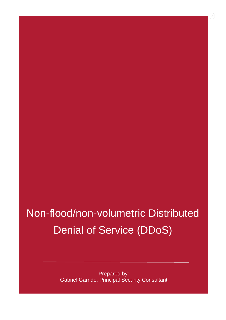## Non-flood/non-volumetric Distributed Denial of Service (DDoS)

Prepared by: Gabriel Garrido, Principal Security Consultant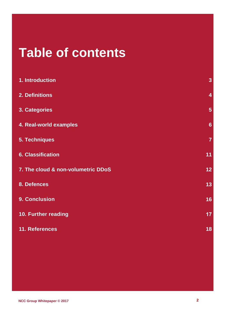## <span id="page-1-0"></span>**Table of contents**

| 1. Introduction                    | $\overline{3}$ |
|------------------------------------|----------------|
| 2. Definitions                     | $\overline{4}$ |
| 3. Categories                      | 5              |
| 4. Real-world examples             | $6\phantom{1}$ |
| <b>5. Techniques</b>               | $\overline{7}$ |
| <b>6. Classification</b>           | 11             |
| 7. The cloud & non-volumetric DDoS | 12             |
| 8. Defences                        | 13             |
| 9. Conclusion                      | 16             |
| 10. Further reading                | 17             |
| 11. References                     | 18             |
|                                    |                |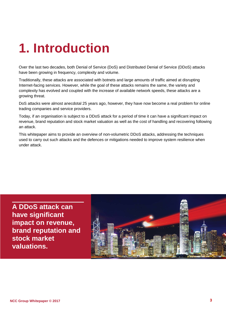## **1. Introduction**

Over the last two decades, both Denial of Service (DoS) and Distributed Denial of Service (DDoS) attacks have been growing in frequency, complexity and volume.

Traditionally, these attacks are associated with botnets and large amounts of traffic aimed at disrupting Internet-facing services. However, while the goal of these attacks remains the same, the variety and complexity has evolved and coupled with the increase of available network speeds, these attacks are a growing threat.

DoS attacks were almost anecdotal 25 years ago, however, they have now become a real problem for online trading companies and service providers.

Today, if an organisation is subject to a DDoS attack for a period of time it can have a significant impact on revenue, brand reputation and stock market valuation as well as the cost of handling and recovering following an attack.

This whitepaper aims to provide an overview of non-volumetric DDoS attacks, addressing the techniques used to carry out such attacks and the defences or mitigations needed to improve system resilience when under attack.

**A DDoS attack can have significant impact on revenue, brand reputation and stock market valuations.**

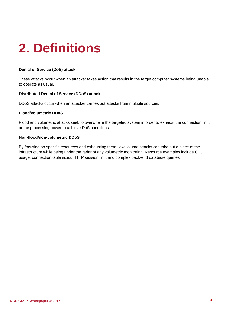# <span id="page-3-0"></span>**2. Definitions**

#### **Denial of Service (DoS) attack**

These attacks occur when an attacker takes action that results in the target computer systems being unable to operate as usual.

#### **Distributed Denial of Service (DDoS) attack**

DDoS attacks occur when an attacker carries out attacks from multiple sources.

#### **Flood/volumetric DDoS**

Flood and volumetric attacks seek to overwhelm the targeted system in order to exhaust the connection limit or the processing power to achieve DoS conditions.

#### **Non-flood/non-volumetric DDoS**

By focusing on specific resources and exhausting them, low volume attacks can take out a piece of the infrastructure while being under the radar of any volumetric monitoring. Resource examples include CPU usage, connection table sizes, HTTP session limit and complex back-end database queries.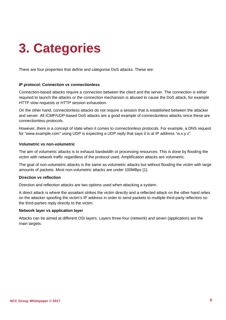## <span id="page-4-0"></span>**3. Categories**

There are four properties that define and categorise DoS attacks. These are:

#### **IP protocol: Connection vs connectionless**

Connection-based attacks require a connection between the client and the server. The connection is either required to launch the attacks or the connection mechanism is abused to cause the DoS attack, for example HTTP slow requests or HTTP session exhaustion.

On the other hand, connectionless attacks do not require a session that is established between the attacker and server. All ICMP/UDP-based DoS attacks are a good example of connectionless attacks since these are connectionless protocols.

However, there is a concept of state when it comes to connectionless protocols. For example, a DNS request for "www.example.com" using UDP is expecting a UDP reply that says it is at IP address "w.x.y.z".

#### **Volumetric vs non-volumetric**

The aim of volumetric attacks is to exhaust bandwidth or processing resources. This is done by flooding the victim with network traffic regardless of the protocol used. Amplification attacks are volumetric.

The goal of non-volumetric attacks is the same as volumetric attacks but without flooding the victim with large amounts of packets. Most non-volumetric attacks are under 100MBps [1].

#### **Direction vs reflection**

Direction and reflection attacks are two options used when attacking a system.

A direct attack is where the assailant strikes the victim directly and a reflected attack on the other hand relies on the attacker spoofing the victim's IP address in order to send packets to multiple third-party reflectors so the third-parties reply directly to the victim.

#### **Network layer vs application layer**

Attacks can be aimed at different OSI layers. Layers three-four (network) and seven (application) are the main targets.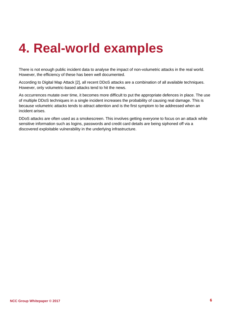## <span id="page-5-0"></span>**4. Real-world examples**

There is not enough public incident data to analyse the impact of non-volumetric attacks in the real world. However, the efficiency of these has been well documented.

According to Digital Map Attack [2], all recent DDoS attacks are a combination of all available techniques. However, only volumetric-based attacks tend to hit the news.

As occurrences mutate over time, it becomes more difficult to put the appropriate defences in place. The use of multiple DDoS techniques in a single incident increases the probability of causing real damage. This is because volumetric attacks tends to attract attention and is the first symptom to be addressed when an incident arises.

DDoS attacks are often used as a smokescreen. This involves getting everyone to focus on an attack while sensitive information such as logins, passwords and credit card details are being siphoned off via a discovered exploitable vulnerability in the underlying infrastructure.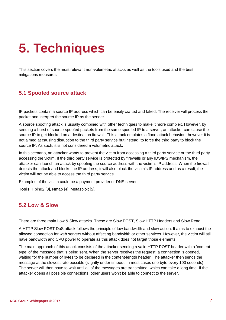## <span id="page-6-0"></span>**5. Techniques**

This section covers the most relevant non-volumetric attacks as well as the tools used and the best mitigations measures.

### **5.1 Spoofed source attack**

IP packets contain a source IP address which can be easily crafted and faked. The receiver will process the packet and interpret the source IP as the sender.

A source spoofing attack is usually combined with other techniques to make it more complex. However, by sending a burst of source-spoofed packets from the same spoofed IP to a server, an attacker can cause the source IP to get blocked on a destination firewall. This attack emulates a flood attack behaviour however it is not aimed at causing disruption to the third party service but instead, to force the third party to block the source IP. As such, it is not considered a volumetric attack.

In this scenario, an attacker wants to prevent the victim from accessing a third party service or the third party accessing the victim. If the third party service is protected by firewalls or any IDS/IPS mechanism, the attacker can launch an attack by spoofing the source address with the victim's IP address. When the firewall detects the attack and blocks the IP address, it will also block the victim's IP address and as a result, the victim will not be able to access the third party service.

Examples of the victim could be a payment provider or DNS server.

**Tools**: Hping2 [3], Nmap [4], Metasploit [5].

#### **5.2 Low & Slow**

There are three main Low & Slow attacks. These are Slow POST, Slow HTTP Headers and Slow Read.

A HTTP Slow POST DoS attack follows the principle of low bandwidth and slow action. It aims to exhaust the allowed connection for web servers without affecting bandwidth or other services. However, the victim will still have bandwidth and CPU power to operate as this attack does not target those elements.

The main approach of this attack consists of the attacker sending a valid HTTP POST header with a 'contenttype' of the message that is being sent. When the server receives the request, a connection is opened, waiting for the number of bytes to be declared in the content-length header. The attacker then sends the message at the slowest rate possible (slightly under timeout, in most cases one byte every 100 seconds). The server will then have to wait until all of the messages are transmitted, which can take a long time. If the attacker opens all possible connections, other users won't be able to connect to the server.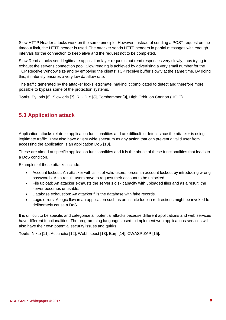Slow HTTP Header attacks work on the same principle. However, instead of sending a POST request on the timeout limit, the HTTP header is used. The attacker sends HTTP headers in partial messages with enough intervals for the connection to keep alive and the request not to be completed.

Slow Read attacks send legitimate application-layer requests but read responses very slowly, thus trying to exhaust the server's connection pool. Slow reading is achieved by advertising a very small number for the TCP Receive Window size and by emptying the clients' TCP receive buffer slowly at the same time. By doing this, it naturally ensures a very low dataflow rate.

The traffic generated by the attacker looks legitimate, making it complicated to detect and therefore more possible to bypass some of the protection systems.

**Tools**: PyLoris [6], Slowloris [7], R.U.D.Y [8], Torshammer [9], High Orbit Ion Cannon (HOIC)

### **5.3 Application attack**

Application attacks relate to application functionalities and are difficult to detect since the attacker is using legitimate traffic. They also have a very wide spectrum as any action that can prevent a valid user from accessing the application is an application DoS [10].

These are aimed at specific application functionalities and it is the abuse of these functionalities that leads to a DoS condition.

Examples of these attacks include:

- Account lockout: An attacker with a list of valid users, forces an account lockout by introducing wrong passwords. As a result, users have to request their account to be unlocked.
- File upload: An attacker exhausts the server's disk capacity with uploaded files and as a result, the server becomes unusable.
- Database exhaustion: An attacker fills the database with fake records.
- Logic errors: A logic flaw in an application such as an infinite loop in redirections might be invoked to deliberately cause a DoS.

It is difficult to be specific and categorise all potential attacks because different applications and web services have different functionalities. The programming languages used to implement web applications services will also have their own potential security issues and quirks.

**Tools**: Nikto [11], Accunetix [12], WebInspect [13], Burp [14], OWASP ZAP [15].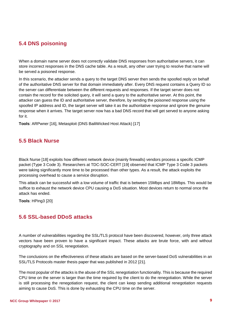### **5.4 DNS poisoning**

When a domain name server does not correctly validate DNS responses from authoritative servers, it can store incorrect responses in the DNS cache table. As a result, any other user trying to resolve that name will be served a poisoned response.

In this scenario, the attacker sends a query to the target DNS server then sends the spoofed reply on behalf of the authoritative DNS server for that domain immediately after. Every DNS request contains a Query ID so the server can differentiate between the different requests and responses. If the target server does not contain the record for the solicited query, it will send a query to the authoritative server. At this point, the attacker can guess the ID and authoritative server, therefore, by sending the poisoned response using the spoofed IP address and ID, the target server will take it as the authoritative response and ignore the genuine response when it arrives. The target server now has a bad DNS record that will get served to anyone asking for it.

**Tools**: ARPwner [16], Metasploit (DNS BailiWicked Host Attack) [17]

#### **5.5 Black Nurse**

Black Nurse [18] exploits how different network device (mainly firewalls) vendors process a specific ICMP packet (Type 3 Code 3). Researchers at TDC-SOC-CERT [19] observed that ICMP Type 3 Code 3 packets were taking significantly more time to be processed than other types. As a result, the attack exploits the processing overhead to cause a service disruption.

This attack can be successful with a low volume of traffic that is between 15Mbps and 18Mbps. This would be suffice to exhaust the network device CPU causing a DoS situation. Most devices return to normal once the attack has ended.

**Tools**: HPing3 [20]

### **5.6 SSL-based DDoS attacks**

A number of vulnerabilities regarding the SSL/TLS protocol have been discovered, however, only three attack vectors have been proven to have a significant impact. These attacks are brute force, with and without cryptography and on SSL renegotiation.

The conclusions on the effectiveness of these attacks are based on the server-based DoS vulnerabilities in an SSL/TLS Protocols master thesis paper that was published in 2012 [21].

The most popular of the attacks is the abuse of the SSL renegotiation functionality. This is because the required CPU time on the server is larger than the time required by the client to do the renegotiation. While the server is still processing the renegotiation request, the client can keep sending additional renegotiation requests aiming to cause DoS. This is done by exhausting the CPU time on the server.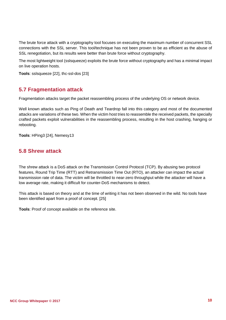The brute force attack with a cryptography tool focuses on executing the maximum number of concurrent SSL connections with the SSL server. This tool/technique has not been proven to be as efficient as the abuse of SSL renegotiation, but its results were better than brute force without cryptography.

The most lightweight tool (sslsqueeze) exploits the brute force without cryptography and has a minimal impact on live operation hosts.

**Tools**: sslsqueeze [22], thc-ssl-dos [23]

#### **5.7 Fragmentation attack**

Fragmentation attacks target the packet reassembling process of the underlying OS or network device.

Well known attacks such as Ping of Death and Teardrop fall into this category and most of the documented attacks are variations of these two. When the victim host tries to reassemble the received packets, the specially crafted packets exploit vulnerabilities in the reassembling process, resulting in the host crashing, hanging or rebooting.

**Tools**: HPing3 [24], Nemesy13

#### **5.8 Shrew attack**

The shrew attack is a DoS attack on the Transmission Control Protocol (TCP). By abusing two protocol features, Round Trip Time (RTT) and Retransmission Time Out (RTO), an attacker can impact the actual transmission rate of data. The victim will be throttled to near-zero throughput while the attacker will have a low average rate, making it difficult for counter-DoS mechanisms to detect.

This attack is based on theory and at the time of writing it has not been observed in the wild. No tools have been identified apart from a proof of concept. [25]

**Tools**: Proof of concept available on the reference site.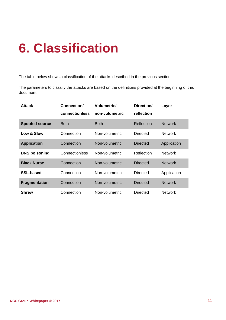# <span id="page-10-0"></span>**6. Classification**

The table below shows a classification of the attacks described in the previous section.

The parameters to classify the attacks are based on the definitions provided at the beginning of this document.

| <b>Attack</b>         | Connection/<br>connectionless | <b>Volumetric/</b><br>non-volumetric | Direction/<br>reflection | Layer          |
|-----------------------|-------------------------------|--------------------------------------|--------------------------|----------------|
| <b>Spoofed source</b> | <b>Both</b>                   | <b>Both</b>                          | Reflection               | <b>Network</b> |
| Low & Slow            | Connection                    | Non-volumetric                       | <b>Directed</b>          | <b>Network</b> |
| <b>Application</b>    | Connection                    | Non-volumetric                       | Directed                 | Application    |
| <b>DNS poisoning</b>  | Connectionless                | Non-volumetric                       | Reflection               | <b>Network</b> |
| <b>Black Nurse</b>    | Connection                    | Non-volumetric                       | Directed                 | <b>Network</b> |
| <b>SSL-based</b>      | Connection                    | Non-volumetric                       | <b>Directed</b>          | Application    |
| <b>Fragmentation</b>  | Connection                    | Non-volumetric                       | <b>Directed</b>          | <b>Network</b> |
| <b>Shrew</b>          | Connection                    | Non-volumetric                       | Directed                 | <b>Network</b> |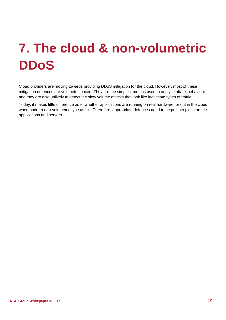# <span id="page-11-0"></span>**7. The cloud & non-volumetric DDoS**

Cloud providers are moving towards providing DDoS mitigation for the cloud. However, most of these mitigation defences are volumetric based. They are the simplest metrics used to analyse attack behaviour and they are also unlikely to detect the slow volume attacks that look like legitimate types of traffic.

Today, it makes little difference as to whether applications are running on real hardware, or out in the cloud when under a non-volumetric type attack. Therefore, appropriate defences need to be put into place on the applications and servers.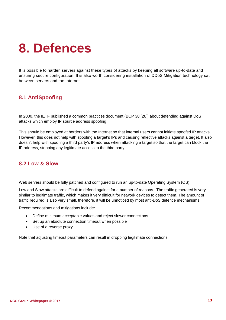## <span id="page-12-0"></span>**8. Defences**

It is possible to harden servers against these types of attacks by keeping all software up-to-date and ensuring secure configuration. It is also worth considering installation of DDoS Mitigation technology sat between servers and the Internet.

### **8.1 AntiSpoofing**

In 2000, the IETF published a common practices document (BCP 38 [26]) about defending against DoS attacks which employ IP source address spoofing.

This should be employed at borders with the Internet so that internal users cannot initiate spoofed IP attacks. However, this does not help with spoofing a target's IPs and causing reflective attacks against a target. It also doesn't help with spoofing a third party's IP address when attacking a target so that the target can block the IP address, stopping any legitimate access to the third party.

### **8.2 Low & Slow**

Web servers should be fully patched and configured to run an up-to-date Operating System (OS).

Low and Slow attacks are difficult to defend against for a number of reasons. The traffic generated is very similar to legitimate traffic, which makes it very difficult for network devices to detect them. The amount of traffic required is also very small, therefore, it will be unnoticed by most anti-DoS defence mechanisms.

Recommendations and mitigations include:

- Define minimum acceptable values and reject slower connections
- Set up an absolute connection timeout when possible
- Use of a reverse proxy

Note that adjusting timeout parameters can result in dropping legitimate connections.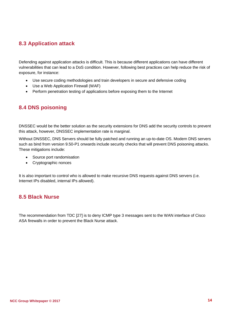### **8.3 Application attack**

Defending against application attacks is difficult. This is because different applications can have different vulnerabilities that can lead to a DoS condition. However, following best practices can help reduce the risk of exposure, for instance:

- Use secure coding methodologies and train developers in secure and defensive coding
- Use a Web Application Firewall (WAF)
- Perform penetration testing of applications before exposing them to the Internet

### **8.4 DNS poisoning**

DNSSEC would be the better solution as the security extensions for DNS add the security controls to prevent this attack, however, DNSSEC implementation rate is marginal.

Without DNSSEC, DNS Servers should be fully patched and running an up-to-date OS. Modern DNS servers such as bind from version 9.50-P1 onwards include security checks that will prevent DNS poisoning attacks. These mitigations include:

- Source port randomisation
- Cryptographic nonces

It is also important to control who is allowed to make recursive DNS requests against DNS servers (i.e. Internet IPs disabled, internal IPs allowed).

#### **8.5 Black Nurse**

The recommendation from TDC [27] is to deny ICMP type 3 messages sent to the WAN interface of Cisco ASA firewalls in order to prevent the Black Nurse attack.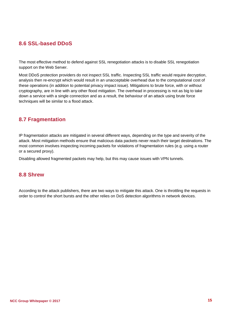### **8.6 SSL-based DDoS**

The most effective method to defend against SSL renegotiation attacks is to disable SSL renegotiation support on the Web Server.

Most DDoS protection providers do not inspect SSL traffic. Inspecting SSL traffic would require decryption, analysis then re-encrypt which would result in an unacceptable overhead due to the computational cost of these operations (in addition to potential privacy impact issue). Mitigations to brute force, with or without cryptography, are in line with any other flood mitigation. The overhead in processing is not as big to take down a service with a single connection and as a result, the behaviour of an attack using brute force techniques will be similar to a flood attack.

### **8.7 Fragmentation**

IP fragmentation attacks are mitigated in several different ways, depending on the type and severity of the attack. Most mitigation methods ensure that malicious data packets never reach their target destinations. The most common involves inspecting incoming packets for violations of fragmentation rules (e.g. using a router or a secured proxy).

Disabling allowed fragmented packets may help, but this may cause issues with VPN tunnels.

#### **8.8 Shrew**

According to the attack publishers, there are two ways to mitigate this attack. One is throttling the requests in order to control the short bursts and the other relies on DoS detection algorithms in network devices.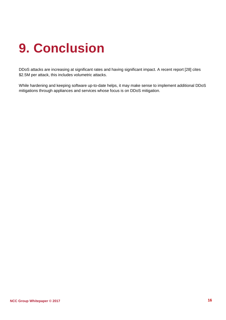# <span id="page-15-0"></span>**9. Conclusion**

DDoS attacks are increasing at significant rates and having significant impact. A recent report [28] cites \$2.5M per attack, this includes volumetric attacks.

While hardening and keeping software up-to-date helps, it may make sense to implement additional DDoS mitigations through appliances and services whose focus is on DDoS mitigation.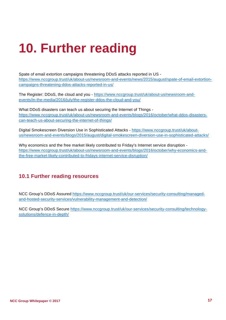# **10. Further reading**

Spate of email extortion campaigns threatening DDoS attacks reported in US [https://www.nccgroup.trust/uk/about-us/newsroom-and-events/news/2015/august/spate-of-email-extortion](https://www.nccgroup.trust/uk/about-us/newsroom-and-events/news/2015/august/spate-of-email-extortion-campaigns-threatening-ddos-attacks-reported-in-us/)[campaigns-threatening-ddos-attacks-reported-in-us/](https://www.nccgroup.trust/uk/about-us/newsroom-and-events/news/2015/august/spate-of-email-extortion-campaigns-threatening-ddos-attacks-reported-in-us/)

The Register: DDoS, the cloud and you - [https://www.nccgroup.trust/uk/about-us/newsroom-and](https://www.nccgroup.trust/uk/about-us/newsroom-and-events/in-the-media/2016/july/the-register-ddos-the-cloud-and-you/)[events/in-the-media/2016/july/the-register-ddos-the-cloud-and-you/](https://www.nccgroup.trust/uk/about-us/newsroom-and-events/in-the-media/2016/july/the-register-ddos-the-cloud-and-you/)

What DDoS disasters can teach us about securing the Internet of Things [https://www.nccgroup.trust/uk/about-us/newsroom-and-events/blogs/2016/october/what-ddos-disasters](https://www.nccgroup.trust/uk/about-us/newsroom-and-events/blogs/2016/october/what-ddos-disasters-can-teach-us-about-securing-the-internet-of-things/)[can-teach-us-about-securing-the-internet-of-things/](https://www.nccgroup.trust/uk/about-us/newsroom-and-events/blogs/2016/october/what-ddos-disasters-can-teach-us-about-securing-the-internet-of-things/) 

Digital Smokescreen Diversion Use in Sophisticated Attacks - [https://www.nccgroup.trust/uk/about](https://www.nccgroup.trust/uk/about-us/newsroom-and-events/blogs/2015/august/digital-smokescreen-diversion-use-in-sophisticated-attacks/)[us/newsroom-and-events/blogs/2015/august/digital-smokescreen-diversion-use-in-sophisticated-attacks/](https://www.nccgroup.trust/uk/about-us/newsroom-and-events/blogs/2015/august/digital-smokescreen-diversion-use-in-sophisticated-attacks/)

Why economics and the free market likely contributed to Friday's Internet service disruption [https://www.nccgroup.trust/uk/about-us/newsroom-and-events/blogs/2016/october/why-economics-and](https://www.nccgroup.trust/uk/about-us/newsroom-and-events/blogs/2016/october/why-economics-and-the-free-market-likely-contributed-to-fridays-internet-service-disruption/)[the-free-market-likely-contributed-to-fridays-internet-service-disruption/](https://www.nccgroup.trust/uk/about-us/newsroom-and-events/blogs/2016/october/why-economics-and-the-free-market-likely-contributed-to-fridays-internet-service-disruption/) 

### **10.1 Further reading resources**

NCC Group's DDoS Assured [https://www.nccgroup.trust/uk/our-services/security-consulting/managed](https://www.nccgroup.trust/uk/our-services/security-consulting/managed-and-hosted-security-services/vulnerability-management-and-detection/)[and-hosted-security-services/vulnerability-management-and-detection/](https://www.nccgroup.trust/uk/our-services/security-consulting/managed-and-hosted-security-services/vulnerability-management-and-detection/)

<span id="page-16-0"></span>NCC Group's DDoS Secure [https://www.nccgroup.trust/uk/our-services/security-consulting/technology](https://www.nccgroup.trust/uk/our-services/security-consulting/technology-solutions/defence-in-depth/)[solutions/defence-in-depth/](https://www.nccgroup.trust/uk/our-services/security-consulting/technology-solutions/defence-in-depth/)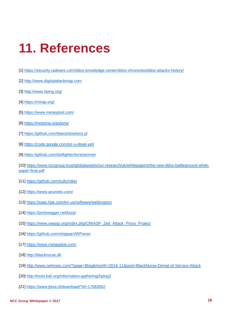## **11. References**

- [1] <https://security.radware.com/ddos-knowledge-center/ddos-chronicles/ddos-attacks-history/>
- [2] [http://www.digitalattackmap.com](http://www.digitalattackmap.com/)
- [3] <http://www.hping.org/>
- [4] <https://nmap.org/>
- [5] <https://www.metasploit.com/>
- [6] <https://motoma.io/pyloris/>
- [7] <https://github.com/llaera/slowloris.pl>
- [8] <https://code.google.com/p/r-u-dead-yet/>
- [9] <https://github.com/dotfighter/torshammer>
- [10] [https://www.nccgroup.trust/globalassets/our-research/uk/whitepapers/the-new-ddos-battleground-white](https://www.nccgroup.trust/globalassets/our-research/uk/whitepapers/the-new-ddos-battleground-white-paper-final.pdf)[paper-final.pdf](https://www.nccgroup.trust/globalassets/our-research/uk/whitepapers/the-new-ddos-battleground-white-paper-final.pdf)
- [11] <https://github.com/sullo/nikto>
- [12] <https://www.acunetix.com/>
- [13] <https://saas.hpe.com/en-us/software/webinspect>
- [14] <https://portswigger.net/burp/>
- [15] [https://www.owasp.org/index.php/OWASP\\_Zed\\_Attack\\_Proxy\\_Project](https://www.owasp.org/index.php/OWASP_Zed_Attack_Proxy_Project)
- [16] <https://github.com/ntrippar/ARPwner>
- [17] <https://www.metasploit.com/>
- [18] [http://blacknurse.dk](http://blacknurse.dk/)
- [19] <http://www.netresec.com/?page=Blog&month=2016-11&post=BlackNurse-Denial-of-Service-Attack>
- [20] <http://tools.kali.org/information-gathering/hping3>
- [21] <https://www.jbisa.nl/download/?id=17683062>